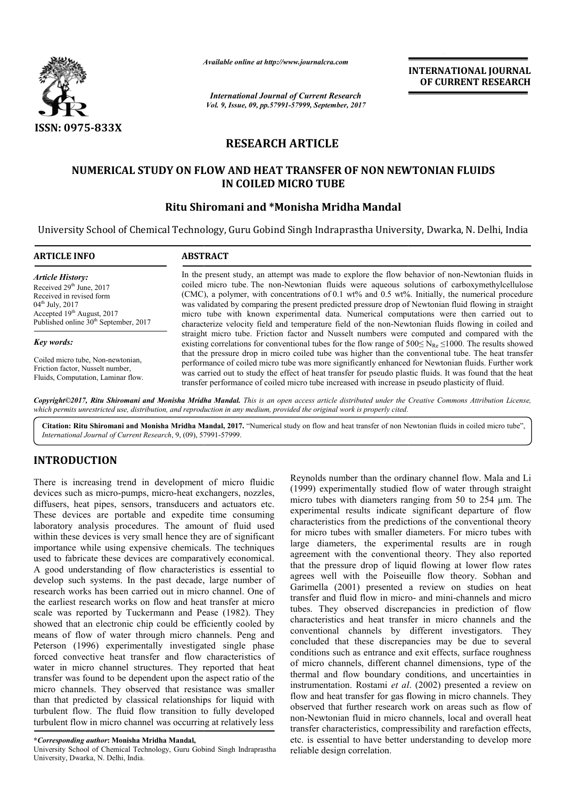

*Available online at http://www.journalcra.com*

*International Journal of Current Research Vol. 9, Issue, 09, pp.57991-57999, September, 2017* **INTERNATIONAL JOURNAL OF CURRENT RESEARCH**

# **RESEARCH ARTICLE**

# **NUMERICAL STUDY ON FLOW AND HEAT TRANSFER OF NON NEWTONIAN FLUIDS IN COILED MICRO TUBE**

## **Ritu Shiromani and \*Monisha Mridha Mandal**

University School of Chemical Technology, Guru Gobind Singh Indraprastha University, Dwarka, N. Delhi, India

| <b>ARTICLE INFO</b>                               | <b>ABSTRACT</b>                                                                                                                                                                                                                                                                                                                  |  |  |  |
|---------------------------------------------------|----------------------------------------------------------------------------------------------------------------------------------------------------------------------------------------------------------------------------------------------------------------------------------------------------------------------------------|--|--|--|
| <b>Article History:</b>                           | In the present study, an attempt was made to explore the flow behavior of non-Newtonian fluids in                                                                                                                                                                                                                                |  |  |  |
| Received 29 <sup>th</sup> June, 2017              | coiled micro tube. The non-Newtonian fluids were aqueous solutions of carboxymethylcellulose                                                                                                                                                                                                                                     |  |  |  |
| Received in revised form                          | (CMC), a polymer, with concentrations of 0.1 $wt\%$ and 0.5 $wt\%$ . Initially, the numerical procedure                                                                                                                                                                                                                          |  |  |  |
| $04^{\text{th}}$ July, 2017                       | was validated by comparing the present predicted pressure drop of Newtonian fluid flowing in straight                                                                                                                                                                                                                            |  |  |  |
| Accepted 19th August, 2017                        | micro tube with known experimental data. Numerical computations were then carried out to                                                                                                                                                                                                                                         |  |  |  |
| Published online 30 <sup>th</sup> September, 2017 | characterize velocity field and temperature field of the non-Newtonian fluids flowing in coiled and                                                                                                                                                                                                                              |  |  |  |
| Key words:                                        | straight micro tube. Friction factor and Nusselt numbers were computed and compared with the<br>existing correlations for conventional tubes for the flow range of $500 \le N_{\text{Re}} \le 1000$ . The results showed<br>that the pressure drop in micro coiled tube was higher than the conventional tube. The heat transfer |  |  |  |
| Coiled micro tube, Non-newtonian,                 | performance of coiled micro tube was more significantly enhanced for Newtonian fluids. Further work                                                                                                                                                                                                                              |  |  |  |
| Friction factor, Nusselt number,                  | was carried out to study the effect of heat transfer for pseudo plastic fluids. It was found that the heat                                                                                                                                                                                                                       |  |  |  |
| Fluids, Computation, Laminar flow.                | transfer performance of coiled micro tube increased with increase in pseudo plasticity of fluid.                                                                                                                                                                                                                                 |  |  |  |

Copyright©2017, Ritu Shiromani and Monisha Mridha Mandal. This is an open access article distributed under the Creative Commons Attribution License, which permits unrestricted use, distribution, and reproduction in any medium, provided the original work is properly cited.

Citation: Ritu Shiromani and Monisha Mridha Mandal, 2017. "Numerical study on flow and heat transfer of non Newtonian fluids in coiled micro tube", *International Journal of Current Research*, 9, (09), 57991 57991-57999.

## **INTRODUCTION**

There is increasing trend in development of micro fluidic devices such as micro-pumps, micro-heat exchangers, nozzles, diffusers, heat pipes, sensors, transducers and actuators etc. These devices are portable and expedite time consuming laboratory analysis procedures. The amount of fluid used within these devices is very small hence they are of significant importance while using expensive chemicals. The techniques used to fabricate these devices are comparatively economical. A good understanding of flow characteristics is essential to develop such systems. In the past decade, large number of research works has been carried out in micro channel. One of the earliest research works on flow and heat transfer at micro scale was reported by Tuckermann and Pease (1982). They showed that an electronic chip could be efficiently cooled by means of flow of water through micro channels. Peng and Peterson (1996) experimentally investigated single phase forced convective heat transfer and flow characteristics of water in micro channel structures. They reported that heat transfer was found to be dependent upon the aspect ratio of the micro channels. They observed that resistance was smaller than that predicted by classical relationships for liquid with turbulent flow. The fluid flow transition to fully developed turbulent flow in micro channel was occurring at relatively less o-heat exchangers, nozzles,<br>sducers and actuators etc.<br>expedite time consuming<br>he amount of fluid used<br>ence they are of significant<br>chemicals. The techniques<br>comparatively economical.<br>aracteristics is essential to<br>t decade

**\****Corresponding author***: Monisha Mridha Mandal,** 

University School of Chemical Technology, Guru Gobind Singh Indraprastha University, Dwarka, N. Delhi, India.

here is increasing trend in development of micro fluidic Reynolds number than the ordinary channel flow. Mala and Livices such as micro-pumps, micro-heat exchangers, nozzles, (1999) experimentally studied flow of water thr (1999) experimentally studied flow of water through straight micro tubes with diameters ranging from 50 to 254 µm. The experimental results indicate significant departure of flow characteristics from the predictions of the conventional theory for micro tubes with smaller diameters. For micro tubes with large diameters, the experimental results are in rough agreement with the conventional theory. They also reported that the pressure drop of liquid flowing at lower flow rates agrees well with the Poiseuille flow theory. Sobhan and Garimella (2001) presented a review on studies on heat transfer and fluid flow in micro- and mini-channels and micro tubes. They observed discrepancies in prediction of flow characteristics and heat transfer in micro channels and the conventional channels by different investigators. They concluded that these discrepancies may be due to several conditions such as entrance and exit effects, surface roughness of micro channels, different channel dimensions, type of the thermal and flow boundary conditions, and uncertainties in instrumentation. Rostami et al. (2002) presented a review on flow and heat transfer for gas flowing in micro channels. They observed that further research work on areas such as flow of non-Newtonian fluid in micro channels, local and overall heat transfer characteristics, compressibili etc. is essential to have better understanding to develop more reliable design correlation. Reynolds number than the ordinary channel flow. Mala and Li (1999) experimentally studied flow of water through straight micro tubes with diameters ranging from 50 to 254 µm. The experimental results indicate significant d onal channels by different investigators. They d that these discrepancies may be due to several as such as entrance and exit effects, surface roughness channels, different channel dimensions, type of the and flow boundary and heat transfer for gas flowing in micro channels. They rved that further research work on areas such as flow of Newtonian fluid in micro channels, local and overall heat fer characteristics, compressibility and rarefact INTERNATIONAL JOURNAL<br>
OF CURRENT RESEARCH<br>
OF CURRENT RESEARCH<br>
TONIAN FLUIDS<br>
inty, Dwarka, N. Delhi, India<br>
ehavior of non-Newtonian fluids in<br>
luitions of carboxymethy<br>
luce line in carrier and positive the Newtonian f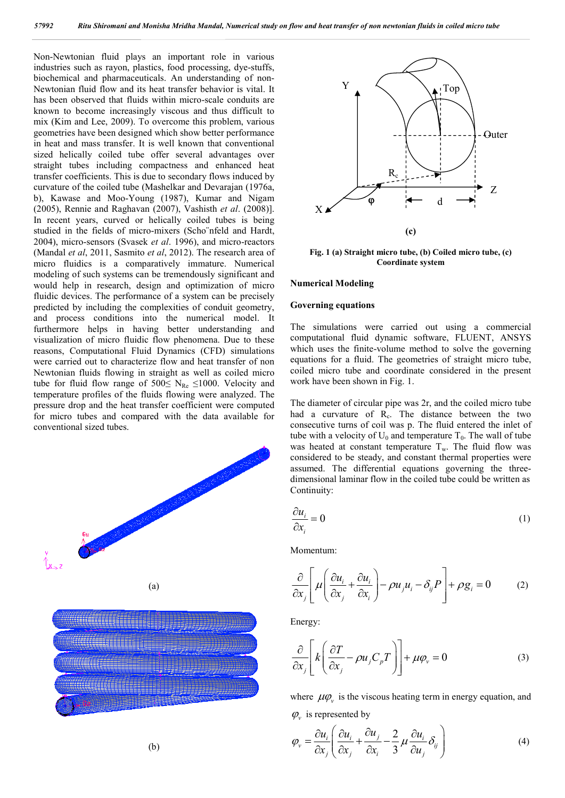Non-Newtonian fluid plays an important role in various industries such as rayon, plastics, food processing, dye-stuffs, biochemical and pharmaceuticals. An understanding of non-Newtonian fluid flow and its heat transfer behavior is vital. It has been observed that fluids within micro-scale conduits are known to become increasingly viscous and thus difficult to mix (Kim and Lee, 2009). To overcome this problem, various geometries have been designed which show better performance in heat and mass transfer. It is well known that conventional sized helically coiled tube offer several advantages over straight tubes including compactness and enhanced heat transfer coefficients. This is due to secondary flows induced by curvature of the coiled tube (Mashelkar and Devarajan (1976a, b), Kawase and Moo-Young (1987), Kumar and Nigam (2005), Rennie and Raghavan (2007), Vashisth *et al*. (2008)]. In recent years, curved or helically coiled tubes is being studied in the fields of micro-mixers (Scho¨nfeld and Hardt, 2004), micro-sensors (Svasek *et al*. 1996), and micro-reactors (Mandal *et al*, 2011, Sasmito *et al*, 2012). The research area of micro fluidics is a comparatively immature. Numerical modeling of such systems can be tremendously significant and would help in research, design and optimization of micro fluidic devices. The performance of a system can be precisely predicted by including the complexities of conduit geometry, and process conditions into the numerical model. It furthermore helps in having better understanding and visualization of micro fluidic flow phenomena. Due to these reasons, Computational Fluid Dynamics (CFD) simulations were carried out to characterize flow and heat transfer of non Newtonian fluids flowing in straight as well as coiled micro tube for fluid flow range of 500≤ N<sub>Re</sub> ≤1000. Velocity and temperature profiles of the fluids flowing were analyzed. The pressure drop and the heat transfer coefficient were computed for micro tubes and compared with the data available for conventional sized tubes.





**Fig. 1 (a) Straight micro tube, (b) Coiled micro tube, (c) Coordinate system**

### **Numerical Modeling**

### **Governing equations**

The simulations were carried out using a commercial computational fluid dynamic software, FLUENT, ANSYS which uses the finite-volume method to solve the governing equations for a fluid. The geometries of straight micro tube, coiled micro tube and coordinate considered in the present work have been shown in Fig. 1.

The diameter of circular pipe was 2r, and the coiled micro tube had a curvature of  $R<sub>c</sub>$ . The distance between the two consecutive turns of coil was p. The fluid entered the inlet of tube with a velocity of  $U_0$  and temperature  $T_0$ . The wall of tube was heated at constant temperature  $T_w$ . The fluid flow was considered to be steady, and constant thermal properties were assumed. The differential equations governing the threedimensional laminar flow in the coiled tube could be written as Continuity:

$$
\frac{\partial u_i}{\partial x_i} = 0 \tag{1}
$$

Momentum:

$$
\frac{\partial}{\partial x_j} \left[ \mu \left( \frac{\partial u_i}{\partial x_j} + \frac{\partial u_i}{\partial x_i} \right) - \rho u_j u_i - \delta_{ij} P \right] + \rho g_i = 0 \tag{2}
$$

Energy:

$$
\frac{\partial}{\partial x_j} \left[ k \left( \frac{\partial T}{\partial x_j} - \rho u_j C_p T \right) \right] + \mu \varphi_v = 0 \tag{3}
$$

where  $\mu\varphi$  is the viscous heating term in energy equation, and  $\varphi$ <sub>*v*</sub> is represented by

$$
\varphi_{v} = \frac{\partial u_{i}}{\partial x_{j}} \left( \frac{\partial u_{i}}{\partial x_{j}} + \frac{\partial u_{j}}{\partial x_{i}} - \frac{2}{3} \mu \frac{\partial u_{i}}{\partial u_{j}} \delta_{ij} \right)
$$
(4)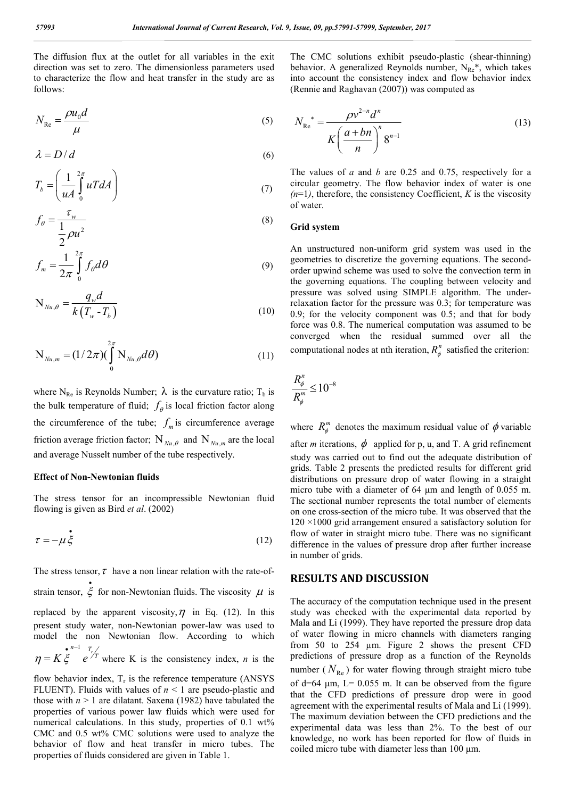The diffusion flux at the outlet for all variables in the exit direction was set to zero. The dimensionless parameters used to characterize the flow and heat transfer in the study are as follows:

$$
N_{\text{Re}} = \frac{\rho u_0 d}{\mu} \tag{5}
$$

$$
\lambda = D/d \tag{6}
$$

$$
T_b = \left(\frac{1}{uA} \int_0^{2\pi} uT dA\right) \tag{7}
$$

$$
f_{\theta} = \frac{\tau_w}{\frac{1}{2}\rho u^2} \tag{8}
$$

$$
f_m = \frac{1}{2\pi} \int_{0}^{2\pi} f_{\theta} d\theta
$$
 (9)

$$
N_{Nu,\theta} = \frac{q_w d}{k(T_w - T_b)}
$$
(10)

$$
N_{N_{u,m}} = (1/2\pi) (\int_{0}^{2\pi} N_{N_{u,\theta}} d\theta)
$$
 (11)

where N<sub>Re</sub> is Reynolds Number;  $\lambda$  is the curvature ratio; T<sub>b</sub> is the bulk temperature of fluid;  $f_{\theta}$  is local friction factor along the circumference of the tube;  $f_m$  is circumference average friction average friction factor;  $N_{Nu\theta}$  and  $N_{Nu\theta}$  are the local and average Nusselt number of the tube respectively.

### **Effect of Non-Newtonian fluids**

The stress tensor for an incompressible Newtonian fluid flowing is given as Bird *et al*. (2002)

$$
\tau = -\mu \dot{\xi} \tag{12}
$$

The stress tensor,  $\tau$  have a non linear relation with the rate-ofstrain tensor,  $\zeta$ for non-Newtonian fluids. The viscosity  $\mu$  is replaced by the apparent viscosity,  $\eta$  in Eq. (12). In this present study water, non-Newtonian power-law was used to model the non Newtonian flow. According to which  $n-1$   $T_r$  $\eta = K \xi$  e<sup>71</sup>  $\bullet$  n- $K \xi$  *e*<sup>7</sup> where K is the consistency index, *n* is the

flow behavior index,  $T_r$  is the reference temperature (ANSYS) FLUENT). Fluids with values of  $n < 1$  are pseudo-plastic and those with  $n > 1$  are dilatant. Saxena (1982) have tabulated the properties of various power law fluids which were used for numerical calculations. In this study, properties of 0.1 wt% CMC and 0.5 wt% CMC solutions were used to analyze the behavior of flow and heat transfer in micro tubes. The properties of fluids considered are given in Table 1.

The CMC solutions exhibit pseudo-plastic (shear-thinning) behavior. A generalized Reynolds number,  $N_{Re}^*$ , which takes into account the consistency index and flow behavior index (Rennie and Raghavan (2007)) was computed as

$$
N_{\text{Re}}^{*} = \frac{\rho v^{2-n} d^{n}}{K\left(\frac{a+bn}{n}\right)^{n} 8^{n-1}}
$$
(13)

The values of *a* and *b* are 0.25 and 0.75, respectively for a circular geometry. The flow behavior index of water is one  $(n=1)$ , therefore, the consistency Coefficient, *K* is the viscosity of water.

#### **Grid system**

An unstructured non-uniform grid system was used in the geometries to discretize the governing equations. The secondorder upwind scheme was used to solve the convection term in the governing equations. The coupling between velocity and pressure was solved using SIMPLE algorithm. The underrelaxation factor for the pressure was 0.3; for temperature was 0.9; for the velocity component was 0.5; and that for body force was 0.8. The numerical computation was assumed to be converged when the residual summed over all the computational nodes at nth iteration,  $R_{\phi}^{n}$  satisfied the criterion:

$$
\frac{R_{\phi}^n}{R_{\phi}^m} \leq 10^{-8}
$$

where  $R_{\phi}^{m}$  denotes the maximum residual value of  $\phi$  variable after *m* iterations,  $\phi$  applied for p, u, and T. A grid refinement study was carried out to find out the adequate distribution of grids. Table 2 presents the predicted results for different grid distributions on pressure drop of water flowing in a straight micro tube with a diameter of 64 μm and length of 0.055 m. The sectional number represents the total number of elements on one cross-section of the micro tube. It was observed that the 120 ×1000 grid arrangement ensured a satisfactory solution for flow of water in straight micro tube. There was no significant difference in the values of pressure drop after further increase in number of grids.

### **RESULTS AND DISCUSSION**

The accuracy of the computation technique used in the present study was checked with the experimental data reported by Mala and Li (1999). They have reported the pressure drop data of water flowing in micro channels with diameters ranging from 50 to 254 µm. Figure 2 shows the present CFD predictions of pressure drop as a function of the Reynolds number ( $N_{\text{Re}}$ ) for water flowing through straight micro tube of d=64  $\mu$ m, L= 0.055 m. It can be observed from the figure that the CFD predictions of pressure drop were in good agreement with the experimental results of Mala and Li (1999). The maximum deviation between the CFD predictions and the experimental data was less than 2%. To the best of our knowledge, no work has been reported for flow of fluids in coiled micro tube with diameter less than 100 μm.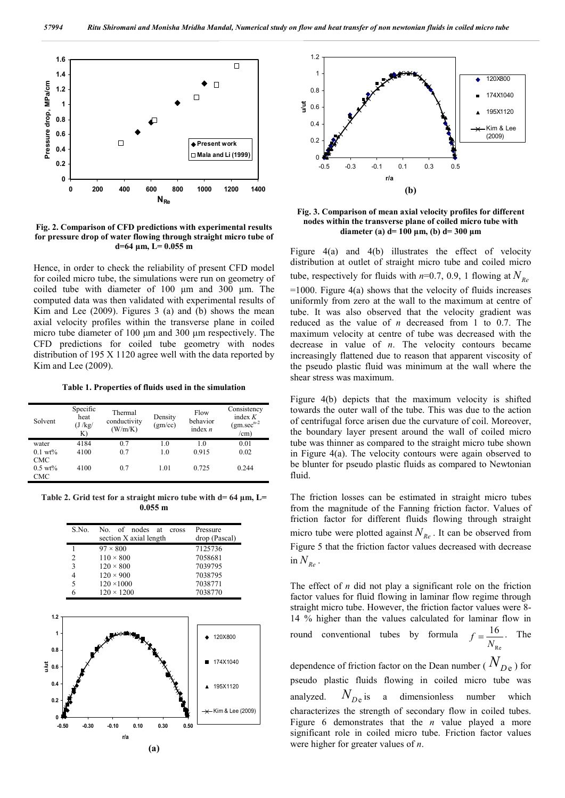

**Fig. 2. Comparison of CFD predictions with experimental results for pressure drop of water flowing through straight micro tube of d=64 μm, L= 0.055 m**

Hence, in order to check the reliability of present CFD model for coiled micro tube, the simulations were run on geometry of coiled tube with diameter of 100 μm and 300 μm. The computed data was then validated with experimental results of Kim and Lee (2009). Figures 3 (a) and (b) shows the mean axial velocity profiles within the transverse plane in coiled micro tube diameter of 100 μm and 300 μm respectively. The CFD predictions for coiled tube geometry with nodes distribution of 195 X 1120 agree well with the data reported by Kim and Lee (2009).

**Table 1. Properties of fluids used in the simulation**

| Solvent            | Specific<br>heat<br>(J / kg)<br>K) | Thermal<br>conductivity<br>(W/m/K) | Density<br>(gm/cc) | Flow<br>behavior<br>index $n$ | Consistency<br>index $K$<br>$(gm. sec^{n-2})$<br>/cm) |
|--------------------|------------------------------------|------------------------------------|--------------------|-------------------------------|-------------------------------------------------------|
| water              | 4184                               | 0.7                                | 1.0                | 1.0                           | 0.01                                                  |
| $0.1 \text{ wt\%}$ | 4100                               | 0.7                                | 1.0                | 0.915                         | 0.02                                                  |
| <b>CMC</b>         |                                    |                                    |                    |                               |                                                       |
| $0.5~\text{wt}\%$  | 4100                               | 0.7                                | 1.01               | 0.725                         | 0.244                                                 |
| <b>CMC</b>         |                                    |                                    |                    |                               |                                                       |

**Table 2. Grid test for a straight micro tube with d= 64 μm, L= 0.055 m**





**Fig. 3. Comparison of mean axial velocity profiles for different nodes within the transverse plane of coiled micro tube with diameter (a) d= 100 μm, (b) d= 300 μm**

Figure 4(a) and 4(b) illustrates the effect of velocity distribution at outlet of straight micro tube and coiled micro tube, respectively for fluids with  $n=0.7$ , 0.9, 1 flowing at  $N_{R_e}$  $=1000$ . Figure 4(a) shows that the velocity of fluids increases uniformly from zero at the wall to the maximum at centre of tube. It was also observed that the velocity gradient was reduced as the value of *n* decreased from 1 to 0.7. The maximum velocity at centre of tube was decreased with the decrease in value of *n*. The velocity contours became increasingly flattened due to reason that apparent viscosity of the pseudo plastic fluid was minimum at the wall where the shear stress was maximum.

Figure 4(b) depicts that the maximum velocity is shifted towards the outer wall of the tube. This was due to the action of centrifugal force arisen due the curvature of coil. Moreover, the boundary layer present around the wall of coiled micro tube was thinner as compared to the straight micro tube shown in Figure 4(a). The velocity contours were again observed to be blunter for pseudo plastic fluids as compared to Newtonian fluid.

The friction losses can be estimated in straight micro tubes from the magnitude of the Fanning friction factor. Values of friction factor for different fluids flowing through straight micro tube were plotted against  $N_{R_e}$ . It can be observed from Figure 5 that the friction factor values decreased with decrease in  $N_{Re}$ .

The effect of *n* did not play a significant role on the friction factor values for fluid flowing in laminar flow regime through straight micro tube. However, the friction factor values were 8- 14 % higher than the values calculated for laminar flow in round conventional tubes by formula  $f = \frac{16}{N_{\text{Re}}}$ . The

dependence of friction factor on the Dean number ( $N_{De}$ ) for pseudo plastic fluids flowing in coiled micro tube was analyzed.  $N_{De}$  is a dimensionless number which characterizes the strength of secondary flow in coiled tubes. Figure 6 demonstrates that the *n* value played a more significant role in coiled micro tube. Friction factor values were higher for greater values of *n*.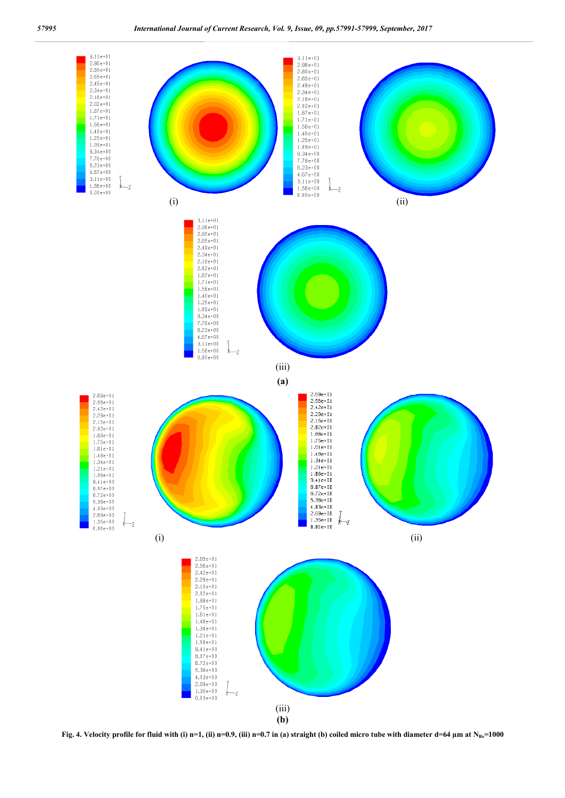

**Fig. 4.** Velocity profile for fluid with (i) n=1, (ii) n=0.9, (iii) n=0.7 in (a) straight (b) coiled micro tube with diameter  $d=64 \mu m$  at  $N_{Re}=1000$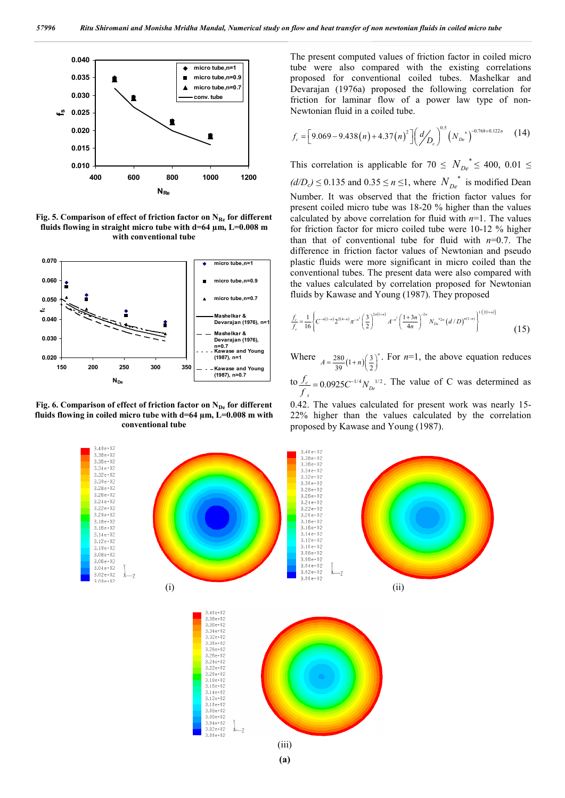

Fig. 5. Comparison of effect of friction factor on N<sub>Re</sub> for different **fluids flowing in straight micro tube with d=64 µm, L=0.008 m with conventional tube**



Fig. 6. Comparison of effect of friction factor on N<sub>De</sub> for different **fluids flowing in coiled micro tube with d=64 µm, L=0.008 m with conventional tube**

The present computed values of friction factor in coiled micro tube were also compared with the existing correlations proposed for conventional coiled tubes. Mashelkar and Devarajan (1976a) proposed the following correlation for friction for laminar flow of a power law type of non-Newtonian fluid in a coiled tube.

$$
f_c = \left[9.069 - 9.438(n) + 4.37(n)^2\right] \left(\frac{d}{D_c}\right)^{0.5} \left(N_{De}\right)^{-0.768 + 0.122n} \tag{14}
$$

This correlation is applicable for  $70 \leq N_{De}^* \leq 400, 0.01 \leq$  $(d/D<sub>c</sub>)$  ≤ 0.135 and 0.35 ≤ *n* ≤1, where  $N<sub>D<sub>e</sub></sub>$ <sup>\*</sup> is modified Dean Number. It was observed that the friction factor values for present coiled micro tube was 18-20 % higher than the values calculated by above correlation for fluid with *n*=1. The values for friction factor for micro coiled tube were 10-12 % higher than that of conventional tube for fluid with *n*=0.7. The difference in friction factor values of Newtonian and pseudo plastic fluids were more significant in micro coiled than the conventional tubes. The present data were also compared with the values calculated by correlation proposed for Newtonian fluids by Kawase and Young (1987). They proposed

$$
\frac{f_c}{f_s} = \frac{1}{16} \left\{ C^{-n(2-n)} 2^{2(4-n)} \pi^{-n^2} \left( \frac{3}{2} \right)^{2n(1+n)} A^{-n^2} \left( \frac{1+3n}{4n} \right)^{-2n} N_{D_e}^{2n} \left( d/D \right)^{n(1-n)} \right\}^{1/[2(1+n)]}
$$
\n(15)

Where  $A = \frac{280}{39}(1+n)\left(\frac{3}{2}\right)$  $A = \frac{280}{39}(1+n)\left(\frac{3}{2}\right)^n$ . For  $n=1$ , the above equation reduces  $\frac{J_c}{f_s} = 0.0925 C^{-1/4} N_{De}^{-1/2}$  $\frac{f_c}{f_s} = 0.0925 C^{-1/4} N_{De}^{1/2}$ . The value of C was determined as

0.42. The values calculated for present work was nearly 15- 22% higher than the values calculated by the correlation proposed by Kawase and Young (1987).

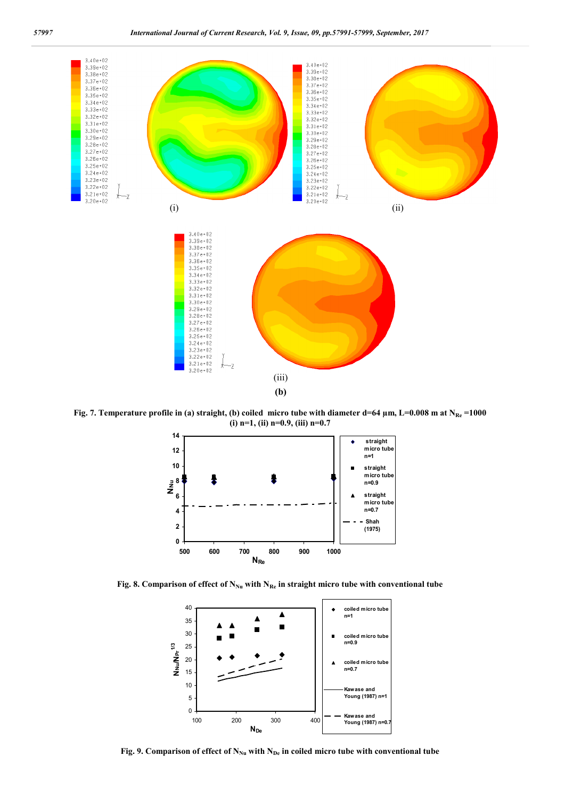

Fig. 7. Temperature profile in (a) straight, (b) coiled micro tube with diameter d=64  $\mu$ m, L=0.008 m at N<sub>Re</sub> =1000 **(i) n=1, (ii) n=0.9, (iii) n=0.7**



Fig. 8. Comparison of effect of N<sub>Nu</sub> with N<sub>Re</sub> in straight micro tube with conventional tube



Fig. 9. Comparison of effect of N<sub>Nu</sub> with N<sub>De</sub> in coiled micro tube with conventional tube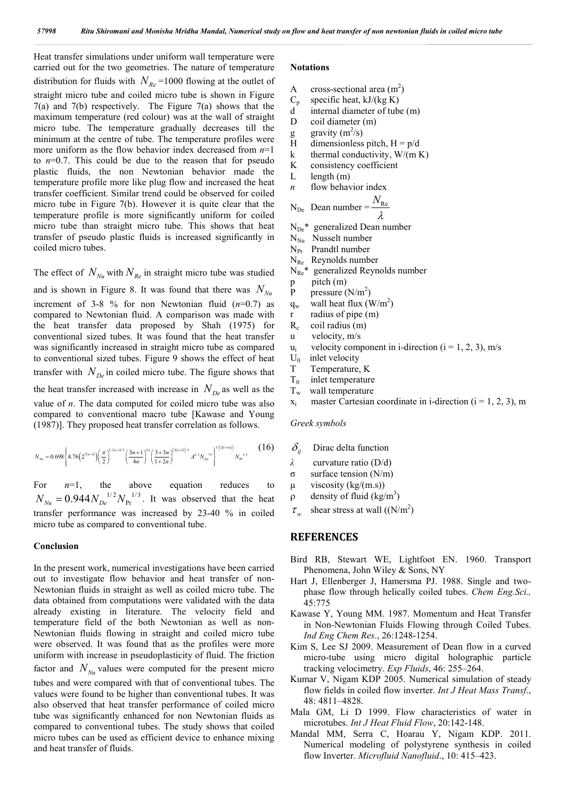Heat transfer simulations under uniform wall temperature were carried out for the two geometries. The nature of temperature distribution for fluids with  $N_{Re}$  =1000 flowing at the outlet of straight micro tube and coiled micro tube is shown in Figure 7(a) and 7(b) respectively. The Figure 7(a) shows that the maximum temperature (red colour) was at the wall of straight micro tube. The temperature gradually decreases till the minimum at the centre of tube. The temperature profiles were more uniform as the flow behavior index decreased from *n*=1 to *n*=0.7. This could be due to the reason that for pseudo plastic fluids, the non Newtonian behavior made the temperature profile more like plug flow and increased the heat transfer coefficient. Similar trend could be observed for coiled micro tube in Figure 7(b). However it is quite clear that the temperature profile is more significantly uniform for coiled micro tube than straight micro tube. This shows that heat transfer of pseudo plastic fluids is increased significantly in coiled micro tubes.

The effect of  $N_{\text{Nu}}$  with  $N_{\text{Re}}$  in straight micro tube was studied

and is shown in Figure 8. It was found that there was  $N_{N_u}$ increment of 3-8 % for non Newtonian fluid (*n*=0.7) as compared to Newtonian fluid. A comparison was made with the heat transfer data proposed by Shah (1975) for conventional sized tubes. It was found that the heat transfer was significantly increased in straight micro tube as compared to conventional sized tubes. Figure 9 shows the effect of heat transfer with  $N_{De}$  in coiled micro tube. The figure shows that the heat transfer increased with increase in  $N_{D_e}$  as well as the value of *n*. The data computed for coiled micro tube was also compared to conventional macro tube [Kawase and Young (1987)]. They proposed heat transfer correlation as follows.

$$
N_{\scriptscriptstyle N u} = 0.698 \left\{ 4.76 \left( 2^{7(n-1)} \right) \left( \frac{\pi}{2} \right)^{(-2n-1)/3} \left( \frac{3n+1}{4n} \right)^{2n} \left( \frac{3+3n}{1+2n} \right)^{[2(n+1)]/3} A^{1/3} N_{\scriptscriptstyle D e}^{\ast 2} \right\}^{\nu \left[ 2(1+n) \right]} N_{\scriptscriptstyle Pr}^{\ \ \nu^{1/3}} \eqno{(16)}
$$

For  $n=1$ , the above equation reduces to  $N_{\text{Nu}} = 0.944 N_{\text{De}}^{1/2} N_{\text{Pr}}^{1/3}$ . It was observed that the heat transfer performance was increased by 23-40 % in coiled micro tube as compared to conventional tube.

### **Conclusion**

In the present work, numerical investigations have been carried out to investigate flow behavior and heat transfer of non-Newtonian fluids in straight as well as coiled micro tube. The data obtained from computations were validated with the data already existing in literature. The velocity field and temperature field of the both Newtonian as well as non-Newtonian fluids flowing in straight and coiled micro tube were observed. It was found that as the profiles were more uniform with increase in pseudoplasticity of fluid. The friction factor and  $N_{Nu}$  values were computed for the present micro

tubes and were compared with that of conventional tubes. The values were found to be higher than conventional tubes. It was also observed that heat transfer performance of coiled micro tube was significantly enhanced for non Newtonian fluids as compared to conventional tubes. The study shows that coiled micro tubes can be used as efficient device to enhance mixing and heat transfer of fluids.

#### **Notations**

- A cross-sectional area  $(m^2)$
- $C_p$  specific heat, kJ/(kg K)
- d internal diameter of tube (m)
- D coil diameter (m)
- g gravity  $(m^2/s)$
- H dimensionless pitch,  $H = p/d$
- k thermal conductivity,  $W/(m K)$
- K consistency coefficient
- L length (m)
- *n* flow behavior index *N<sub>I</sub>*

$$
N_{De} \quad \text{Dean number} = \frac{N_{Re}}{\lambda}
$$

 $N_{De}$ <sup>\*</sup> generalized Dean number

- $N_{Nu}$  Nusselt number
- $N_{Pr}$  Prandtl number
- $N_{Re}$  Reynolds number
- $N_{\text{Re}}^*$  generalized Reynolds number
- p pitch (m)
- P pressure  $(N/m^2)$
- $q_w$  wall heat flux  $(W/m^2)$
- r radius of pipe (m)
- $R_c$  coil radius  $(m)$
- u velocity, m/s
- $u_i$  velocity component in i-direction (i = 1, 2, 3), m/s
- $U_0$  inlet velocity
- T Temperature, K
- $T_0$  inlet temperature<br> $T_w$  wall temperature
- wall temperature
- $x_i$  master Cartesian coordinate in i-direction (i = 1, 2, 3), m

*Greek symbols*

- $\delta_{ii}$  Dirac delta function
- *λ* curvature ratio (D/d)
- σ surface tension (N/m)
- $\mu$  viscosity (kg/(m.s))
- $\rho$  density of fluid (kg/m<sup>3</sup>)
- $\tau_w$  shear stress at wall ((N/m<sup>2</sup>)

## **REFERENCES**

- Bird RB, Stewart WE, Lightfoot EN. 1960. Transport Phenomena, John Wiley & Sons, NY
- Hart J, Ellenberger J, Hamersma PJ. 1988. Single and twophase flow through helically coiled tubes. *Chem Eng.Sci.,* 45:775
- Kawase Y, Young MM. 1987. Momentum and Heat Transfer in Non-Newtonian Fluids Flowing through Coiled Tubes. *Ind Eng Chem Res*., 26:1248-1254.
- Kim S, Lee SJ 2009. Measurement of Dean flow in a curved micro-tube using micro digital holographic particle tracking velocimetry. *Exp Fluids*, 46: 255–264.
- Kumar V, Nigam KDP 2005. Numerical simulation of steady flow fields in coiled flow inverter. *Int J Heat Mass Transf*., 48: 4811–4828.
- Mala GM, Li D 1999. Flow characteristics of water in microtubes. *Int J Heat Fluid Flow*, 20:142-148.
- Mandal MM, Serra C, Hoarau Y, Nigam KDP. 2011. Numerical modeling of polystyrene synthesis in coiled flow Inverter. *Microfluid Nanofluid*., 10: 415–423.